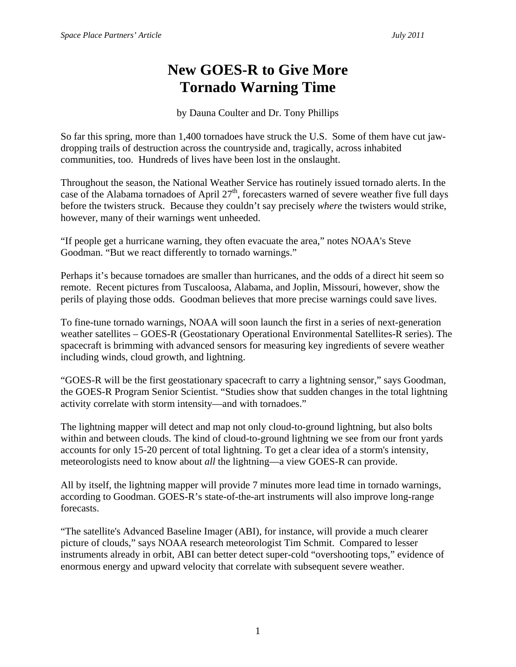## **New GOES-R to Give More Tornado Warning Time**

by Dauna Coulter and Dr. Tony Phillips

So far this spring, more than 1,400 tornadoes have struck the U.S. Some of them have cut jawdropping trails of destruction across the countryside and, tragically, across inhabited communities, too. Hundreds of lives have been lost in the onslaught.

Throughout the season, the National Weather Service has routinely issued tornado alerts. In the case of the Alabama tornadoes of April  $27<sup>th</sup>$ , forecasters warned of severe weather five full days before the twisters struck. Because they couldn't say precisely *where* the twisters would strike, however, many of their warnings went unheeded.

"If people get a hurricane warning, they often evacuate the area," notes NOAA's Steve Goodman. "But we react differently to tornado warnings."

Perhaps it's because tornadoes are smaller than hurricanes, and the odds of a direct hit seem so remote. Recent pictures from Tuscaloosa, Alabama, and Joplin, Missouri, however, show the perils of playing those odds. Goodman believes that more precise warnings could save lives.

To fine-tune tornado warnings, NOAA will soon launch the first in a series of next-generation weather satellites – GOES-R (Geostationary Operational Environmental Satellites-R series). The spacecraft is brimming with advanced sensors for measuring key ingredients of severe weather including winds, cloud growth, and lightning.

"GOES-R will be the first geostationary spacecraft to carry a lightning sensor," says Goodman, the GOES-R Program Senior Scientist. "Studies show that sudden changes in the total lightning activity correlate with storm intensity—and with tornadoes."

The lightning mapper will detect and map not only cloud-to-ground lightning, but also bolts within and between clouds. The kind of cloud-to-ground lightning we see from our front yards accounts for only 15-20 percent of total lightning. To get a clear idea of a storm's intensity, meteorologists need to know about *all* the lightning—a view GOES-R can provide.

All by itself, the lightning mapper will provide 7 minutes more lead time in tornado warnings, according to Goodman. GOES-R's state-of-the-art instruments will also improve long-range forecasts.

"The satellite's Advanced Baseline Imager (ABI), for instance, will provide a much clearer picture of clouds," says NOAA research meteorologist Tim Schmit. Compared to lesser instruments already in orbit, ABI can better detect super-cold "overshooting tops," evidence of enormous energy and upward velocity that correlate with subsequent severe weather.